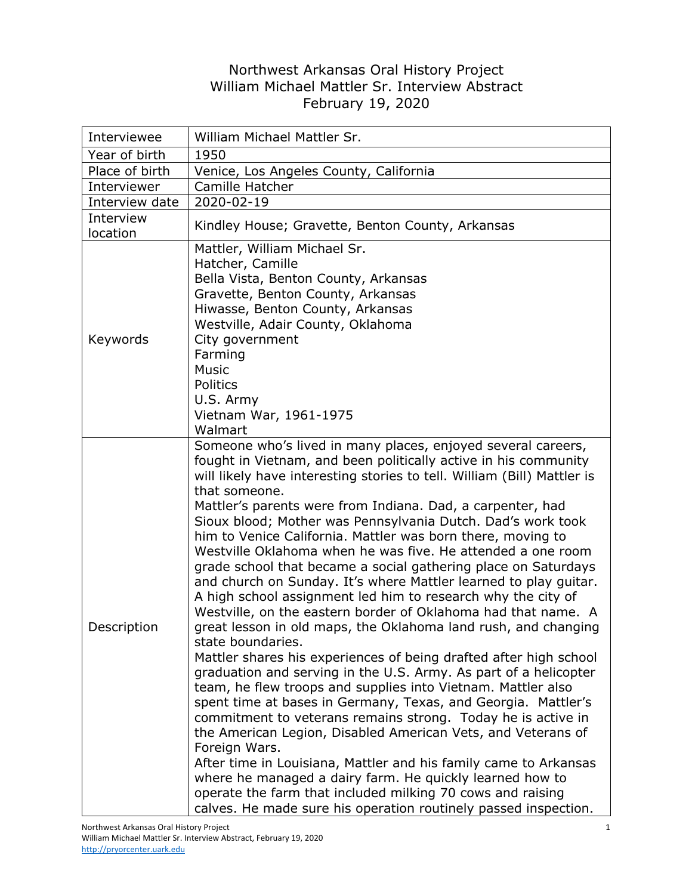## Northwest Arkansas Oral History Project William Michael Mattler Sr. Interview Abstract February 19, 2020

| Interviewee           | William Michael Mattler Sr.                                                                                                                                                                                                                                                                                                                                                                                                                                                                                                                                                                                                                                                                                                                                                                                                                                                                                                                                                                                                                                                                                                                                                                                                                                                                                                                                                                                                                                                                                                                      |
|-----------------------|--------------------------------------------------------------------------------------------------------------------------------------------------------------------------------------------------------------------------------------------------------------------------------------------------------------------------------------------------------------------------------------------------------------------------------------------------------------------------------------------------------------------------------------------------------------------------------------------------------------------------------------------------------------------------------------------------------------------------------------------------------------------------------------------------------------------------------------------------------------------------------------------------------------------------------------------------------------------------------------------------------------------------------------------------------------------------------------------------------------------------------------------------------------------------------------------------------------------------------------------------------------------------------------------------------------------------------------------------------------------------------------------------------------------------------------------------------------------------------------------------------------------------------------------------|
| Year of birth         | 1950                                                                                                                                                                                                                                                                                                                                                                                                                                                                                                                                                                                                                                                                                                                                                                                                                                                                                                                                                                                                                                                                                                                                                                                                                                                                                                                                                                                                                                                                                                                                             |
| Place of birth        | Venice, Los Angeles County, California                                                                                                                                                                                                                                                                                                                                                                                                                                                                                                                                                                                                                                                                                                                                                                                                                                                                                                                                                                                                                                                                                                                                                                                                                                                                                                                                                                                                                                                                                                           |
| Interviewer           | Camille Hatcher                                                                                                                                                                                                                                                                                                                                                                                                                                                                                                                                                                                                                                                                                                                                                                                                                                                                                                                                                                                                                                                                                                                                                                                                                                                                                                                                                                                                                                                                                                                                  |
| Interview date        | 2020-02-19                                                                                                                                                                                                                                                                                                                                                                                                                                                                                                                                                                                                                                                                                                                                                                                                                                                                                                                                                                                                                                                                                                                                                                                                                                                                                                                                                                                                                                                                                                                                       |
| Interview<br>location | Kindley House; Gravette, Benton County, Arkansas                                                                                                                                                                                                                                                                                                                                                                                                                                                                                                                                                                                                                                                                                                                                                                                                                                                                                                                                                                                                                                                                                                                                                                                                                                                                                                                                                                                                                                                                                                 |
| Keywords              | Mattler, William Michael Sr.<br>Hatcher, Camille<br>Bella Vista, Benton County, Arkansas<br>Gravette, Benton County, Arkansas<br>Hiwasse, Benton County, Arkansas<br>Westville, Adair County, Oklahoma<br>City government<br>Farming<br><b>Music</b><br><b>Politics</b><br>U.S. Army<br>Vietnam War, 1961-1975<br>Walmart                                                                                                                                                                                                                                                                                                                                                                                                                                                                                                                                                                                                                                                                                                                                                                                                                                                                                                                                                                                                                                                                                                                                                                                                                        |
| Description           | Someone who's lived in many places, enjoyed several careers,<br>fought in Vietnam, and been politically active in his community<br>will likely have interesting stories to tell. William (Bill) Mattler is<br>that someone.<br>Mattler's parents were from Indiana. Dad, a carpenter, had<br>Sioux blood; Mother was Pennsylvania Dutch. Dad's work took<br>him to Venice California. Mattler was born there, moving to<br>Westville Oklahoma when he was five. He attended a one room<br>grade school that became a social gathering place on Saturdays<br>and church on Sunday. It's where Mattler learned to play guitar.<br>A high school assignment led him to research why the city of<br>Westville, on the eastern border of Oklahoma had that name. A<br>great lesson in old maps, the Oklahoma land rush, and changing<br>state boundaries.<br>Mattler shares his experiences of being drafted after high school<br>graduation and serving in the U.S. Army. As part of a helicopter<br>team, he flew troops and supplies into Vietnam. Mattler also<br>spent time at bases in Germany, Texas, and Georgia. Mattler's<br>commitment to veterans remains strong. Today he is active in<br>the American Legion, Disabled American Vets, and Veterans of<br>Foreign Wars.<br>After time in Louisiana, Mattler and his family came to Arkansas<br>where he managed a dairy farm. He quickly learned how to<br>operate the farm that included milking 70 cows and raising<br>calves. He made sure his operation routinely passed inspection. |